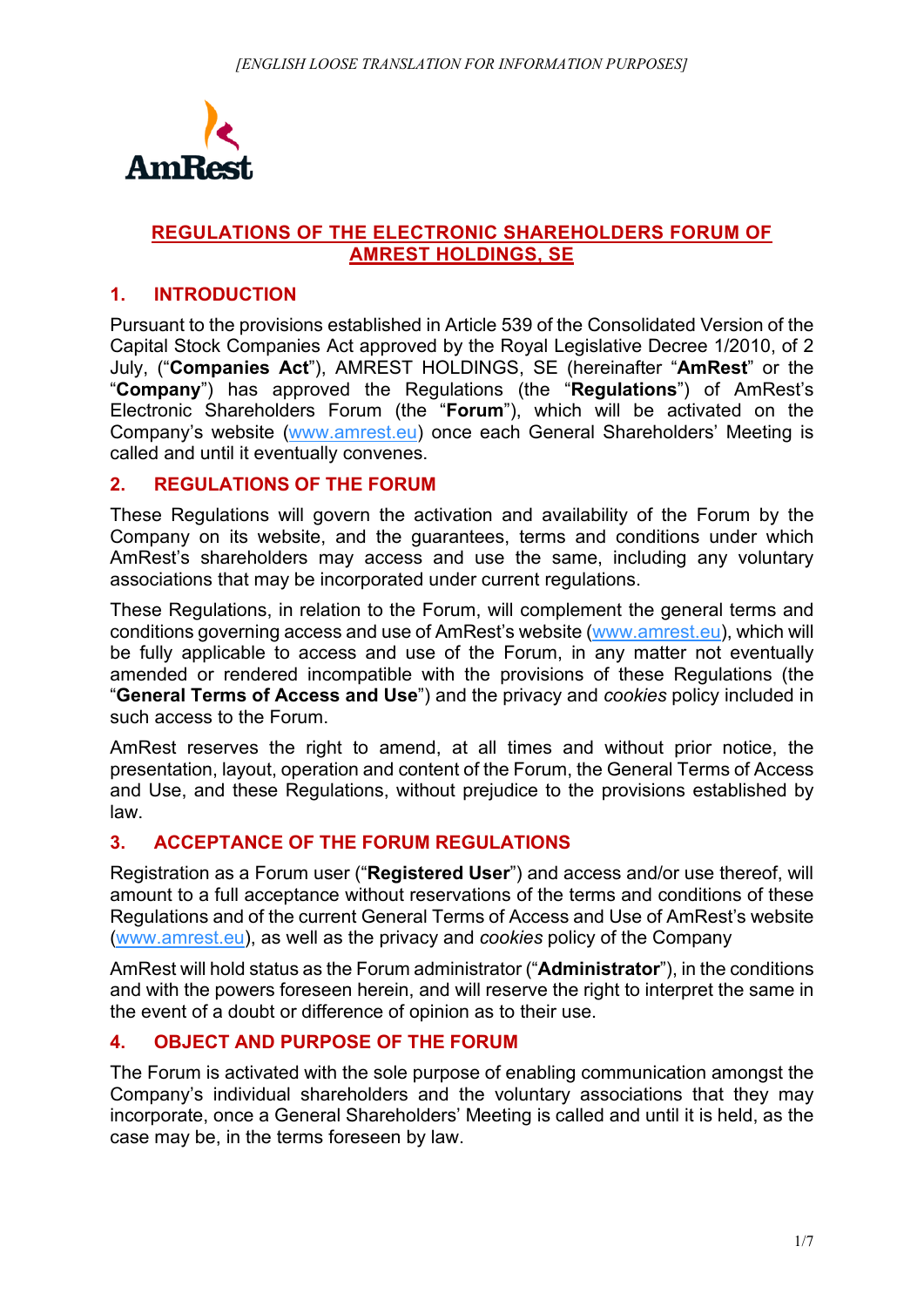

#### **REGULATIONS OF THE ELECTRONIC SHAREHOLDERS FORUM OF AMREST HOLDINGS, SE**

#### **1. INTRODUCTION**

Pursuant to the provisions established in Article 539 of the Consolidated Version of the Capital Stock Companies Act approved by the Royal Legislative Decree 1/2010, of 2 July, ("**Companies Act**"), AMREST HOLDINGS, SE (hereinafter "**AmRest**" or the "**Company**") has approved the Regulations (the "**Regulations**") of AmRest's Electronic Shareholders Forum (the "**Forum**"), which will be activated on the Company's website (www.amrest.eu) once each General Shareholders' Meeting is called and until it eventually convenes.

#### **2. REGULATIONS OF THE FORUM**

These Regulations will govern the activation and availability of the Forum by the Company on its website, and the guarantees, terms and conditions under which AmRest's shareholders may access and use the same, including any voluntary associations that may be incorporated under current regulations.

These Regulations, in relation to the Forum, will complement the general terms and conditions governing access and use of AmRest's website (www.amrest.eu), which will be fully applicable to access and use of the Forum, in any matter not eventually amended or rendered incompatible with the provisions of these Regulations (the "**General Terms of Access and Use**") and the privacy and *cookies* policy included in such access to the Forum.

AmRest reserves the right to amend, at all times and without prior notice, the presentation, layout, operation and content of the Forum, the General Terms of Access and Use, and these Regulations, without prejudice to the provisions established by law.

## **3. ACCEPTANCE OF THE FORUM REGULATIONS**

Registration as a Forum user ("**Registered User**") and access and/or use thereof, will amount to a full acceptance without reservations of the terms and conditions of these Regulations and of the current General Terms of Access and Use of AmRest's website (www.amrest.eu), as well as the privacy and *cookies* policy of the Company

AmRest will hold status as the Forum administrator ("**Administrator**"), in the conditions and with the powers foreseen herein, and will reserve the right to interpret the same in the event of a doubt or difference of opinion as to their use.

## **4. OBJECT AND PURPOSE OF THE FORUM**

The Forum is activated with the sole purpose of enabling communication amongst the Company's individual shareholders and the voluntary associations that they may incorporate, once a General Shareholders' Meeting is called and until it is held, as the case may be, in the terms foreseen by law.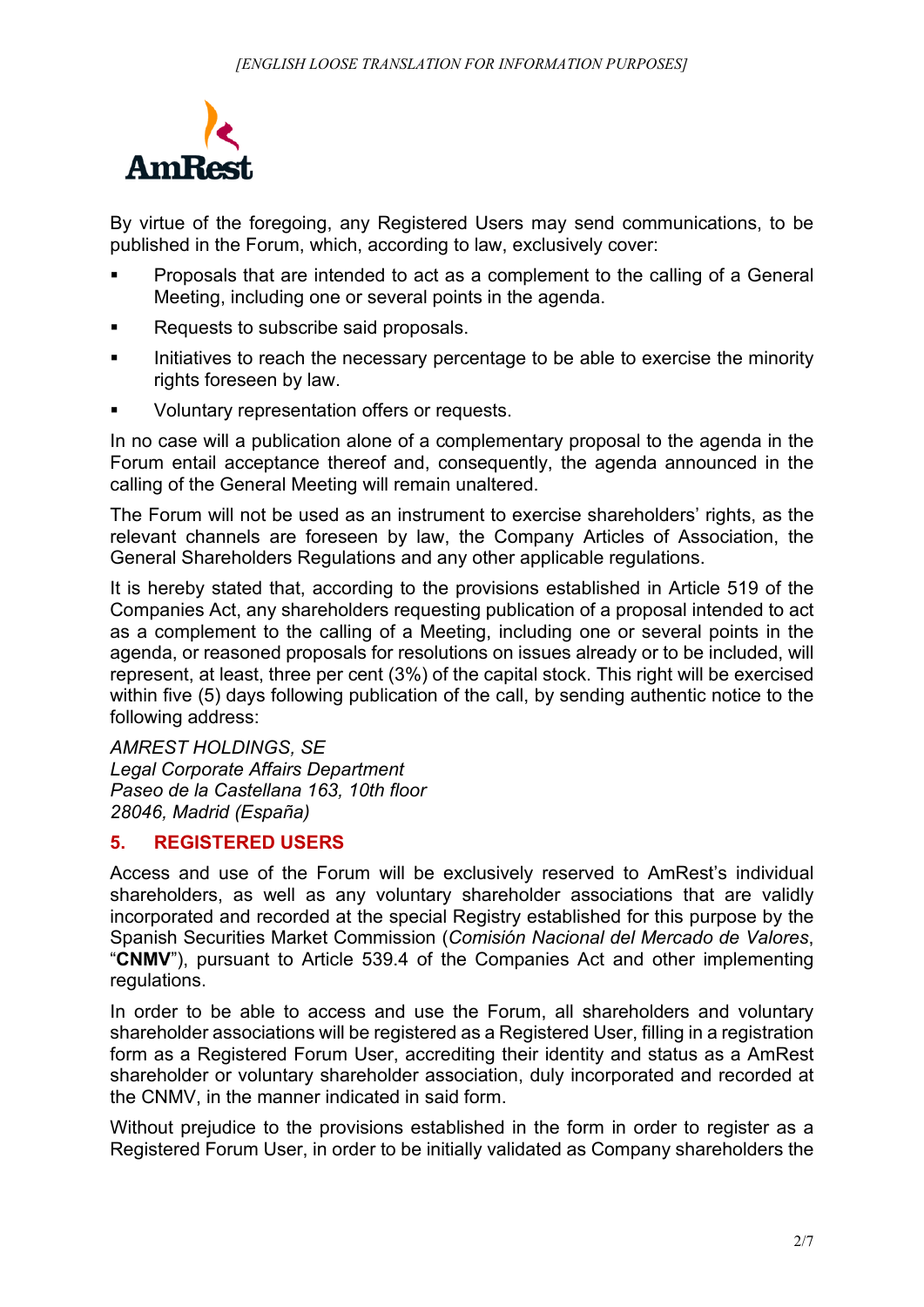

By virtue of the foregoing, any Registered Users may send communications, to be published in the Forum, which, according to law, exclusively cover:

- Proposals that are intended to act as a complement to the calling of a General Meeting, including one or several points in the agenda.
- Requests to subscribe said proposals.
- Initiatives to reach the necessary percentage to be able to exercise the minority rights foreseen by law.
- Voluntary representation offers or requests.

In no case will a publication alone of a complementary proposal to the agenda in the Forum entail acceptance thereof and, consequently, the agenda announced in the calling of the General Meeting will remain unaltered.

The Forum will not be used as an instrument to exercise shareholders' rights, as the relevant channels are foreseen by law, the Company Articles of Association, the General Shareholders Regulations and any other applicable regulations.

It is hereby stated that, according to the provisions established in Article 519 of the Companies Act, any shareholders requesting publication of a proposal intended to act as a complement to the calling of a Meeting, including one or several points in the agenda, or reasoned proposals for resolutions on issues already or to be included, will represent, at least, three per cent (3%) of the capital stock. This right will be exercised within five (5) days following publication of the call, by sending authentic notice to the following address:

*AMREST HOLDINGS, SE Legal Corporate Affairs Department Paseo de la Castellana 163, 10th floor 28046, Madrid (España)*

## **5. REGISTERED USERS**

Access and use of the Forum will be exclusively reserved to AmRest's individual shareholders, as well as any voluntary shareholder associations that are validly incorporated and recorded at the special Registry established for this purpose by the Spanish Securities Market Commission (*Comisión Nacional del Mercado de Valores*, "**CNMV**"), pursuant to Article 539.4 of the Companies Act and other implementing regulations.

In order to be able to access and use the Forum, all shareholders and voluntary shareholder associations will be registered as a Registered User, filling in a registration form as a Registered Forum User, accrediting their identity and status as a AmRest shareholder or voluntary shareholder association, duly incorporated and recorded at the CNMV, in the manner indicated in said form.

Without prejudice to the provisions established in the form in order to register as a Registered Forum User, in order to be initially validated as Company shareholders the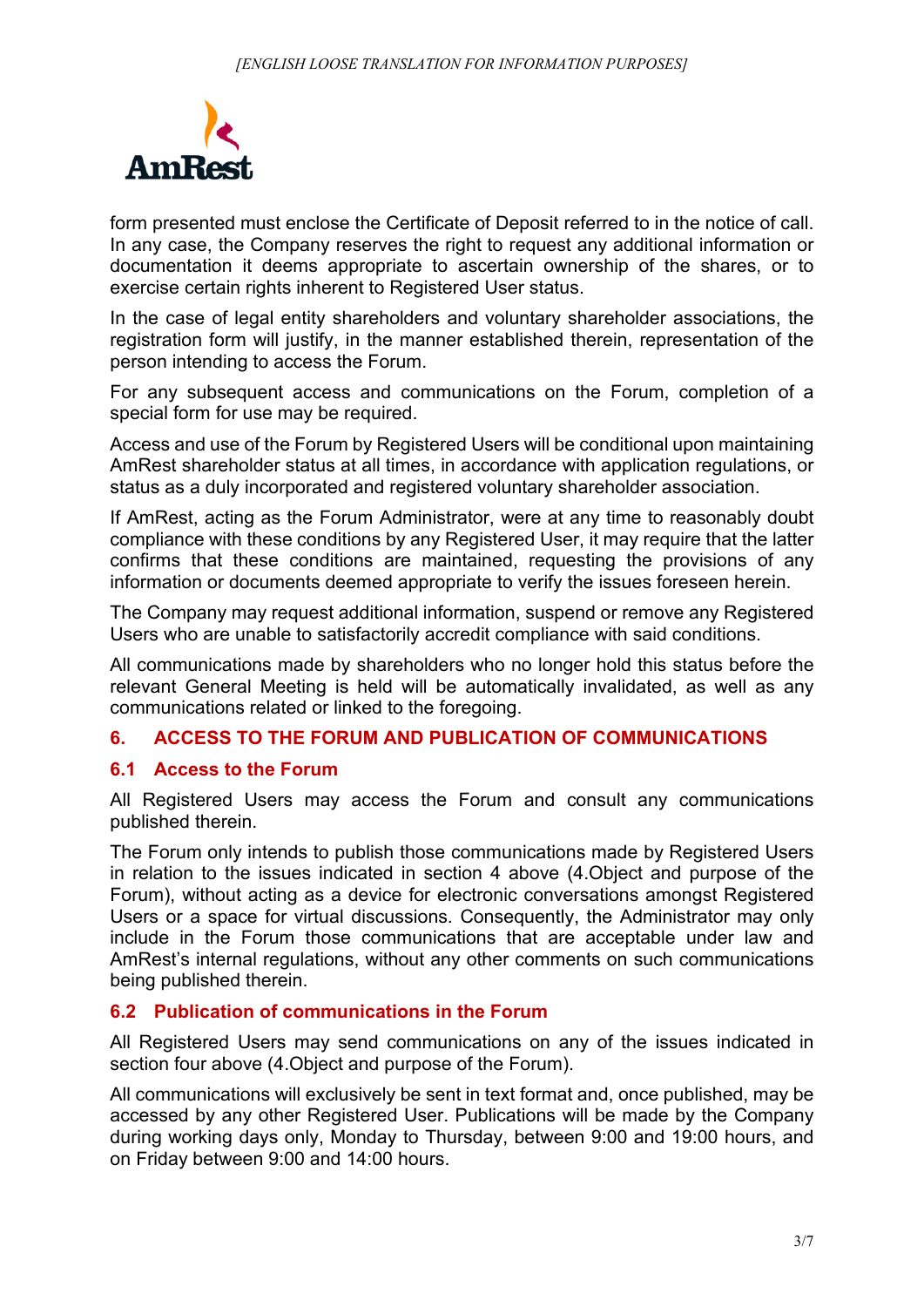

form presented must enclose the Certificate of Deposit referred to in the notice of call. In any case, the Company reserves the right to request any additional information or documentation it deems appropriate to ascertain ownership of the shares, or to exercise certain rights inherent to Registered User status.

In the case of legal entity shareholders and voluntary shareholder associations, the registration form will justify, in the manner established therein, representation of the person intending to access the Forum.

For any subsequent access and communications on the Forum, completion of a special form for use may be required.

Access and use of the Forum by Registered Users will be conditional upon maintaining AmRest shareholder status at all times, in accordance with application regulations, or status as a duly incorporated and registered voluntary shareholder association.

If AmRest, acting as the Forum Administrator, were at any time to reasonably doubt compliance with these conditions by any Registered User, it may require that the latter confirms that these conditions are maintained, requesting the provisions of any information or documents deemed appropriate to verify the issues foreseen herein.

The Company may request additional information, suspend or remove any Registered Users who are unable to satisfactorily accredit compliance with said conditions.

All communications made by shareholders who no longer hold this status before the relevant General Meeting is held will be automatically invalidated, as well as any communications related or linked to the foregoing.

## **6. ACCESS TO THE FORUM AND PUBLICATION OF COMMUNICATIONS**

#### **6.1 Access to the Forum**

All Registered Users may access the Forum and consult any communications published therein.

The Forum only intends to publish those communications made by Registered Users in relation to the issues indicated in section 4 above (4.Object and purpose of the Forum), without acting as a device for electronic conversations amongst Registered Users or a space for virtual discussions. Consequently, the Administrator may only include in the Forum those communications that are acceptable under law and AmRest's internal regulations, without any other comments on such communications being published therein.

#### **6.2 Publication of communications in the Forum**

All Registered Users may send communications on any of the issues indicated in section four above (4.Object and purpose of the Forum).

All communications will exclusively be sent in text format and, once published, may be accessed by any other Registered User. Publications will be made by the Company during working days only, Monday to Thursday, between 9:00 and 19:00 hours, and on Friday between 9:00 and 14:00 hours.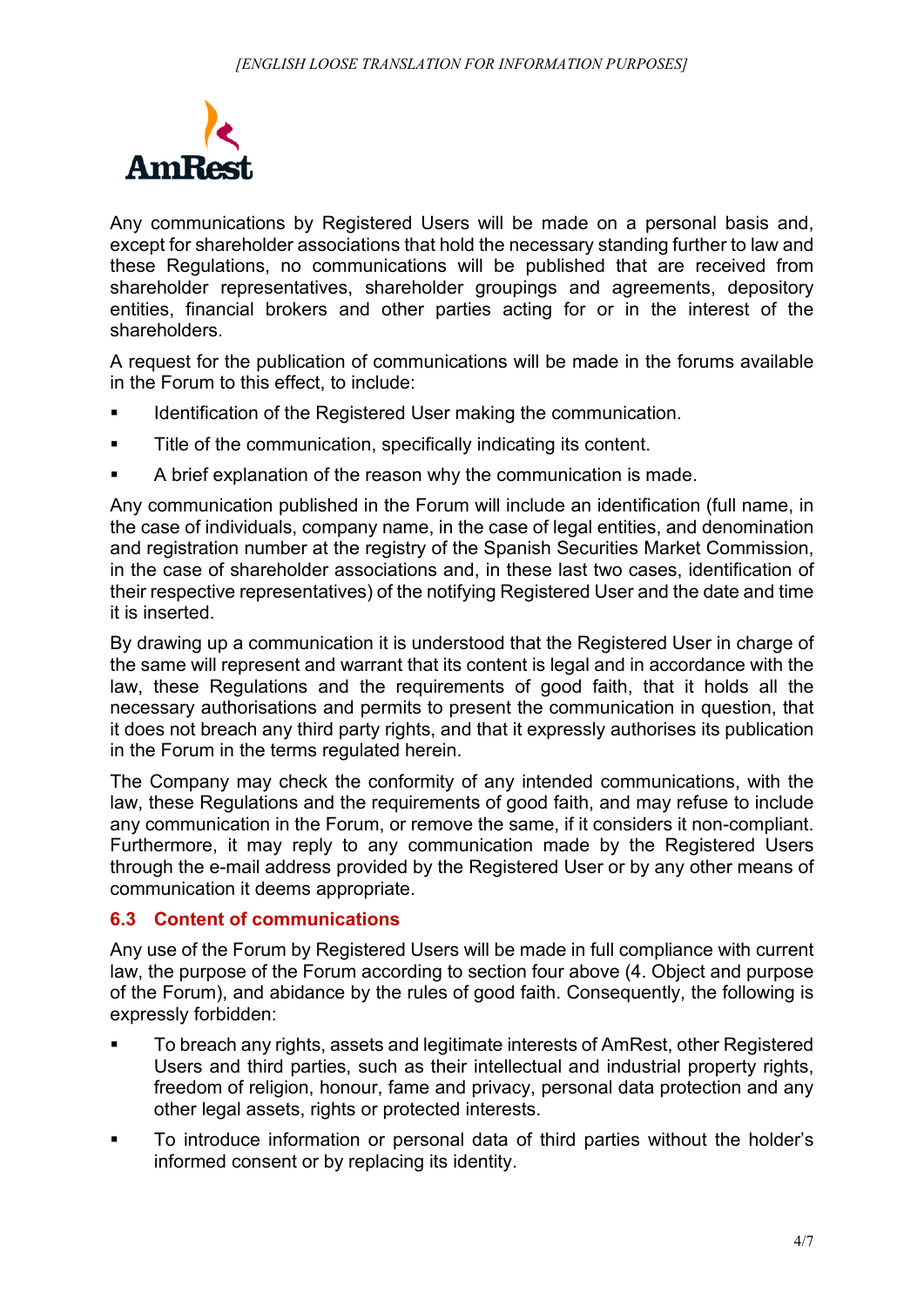

Any communications by Registered Users will be made on a personal basis and, except for shareholder associations that hold the necessary standing further to law and these Regulations, no communications will be published that are received from shareholder representatives, shareholder groupings and agreements, depository entities, financial brokers and other parties acting for or in the interest of the shareholders.

A request for the publication of communications will be made in the forums available in the Forum to this effect, to include:

- Identification of the Registered User making the communication.
- **Title of the communication, specifically indicating its content.**
- A brief explanation of the reason why the communication is made.

Any communication published in the Forum will include an identification (full name, in the case of individuals, company name, in the case of legal entities, and denomination and registration number at the registry of the Spanish Securities Market Commission, in the case of shareholder associations and, in these last two cases, identification of their respective representatives) of the notifying Registered User and the date and time it is inserted.

By drawing up a communication it is understood that the Registered User in charge of the same will represent and warrant that its content is legal and in accordance with the law, these Regulations and the requirements of good faith, that it holds all the necessary authorisations and permits to present the communication in question, that it does not breach any third party rights, and that it expressly authorises its publication in the Forum in the terms regulated herein.

The Company may check the conformity of any intended communications, with the law, these Regulations and the requirements of good faith, and may refuse to include any communication in the Forum, or remove the same, if it considers it non-compliant. Furthermore, it may reply to any communication made by the Registered Users through the e-mail address provided by the Registered User or by any other means of communication it deems appropriate.

## **6.3 Content of communications**

Any use of the Forum by Registered Users will be made in full compliance with current law, the purpose of the Forum according to section four above (4. Object and purpose of the Forum), and abidance by the rules of good faith. Consequently, the following is expressly forbidden:

- To breach any rights, assets and legitimate interests of AmRest, other Registered Users and third parties, such as their intellectual and industrial property rights, freedom of religion, honour, fame and privacy, personal data protection and any other legal assets, rights or protected interests.
- To introduce information or personal data of third parties without the holder's informed consent or by replacing its identity.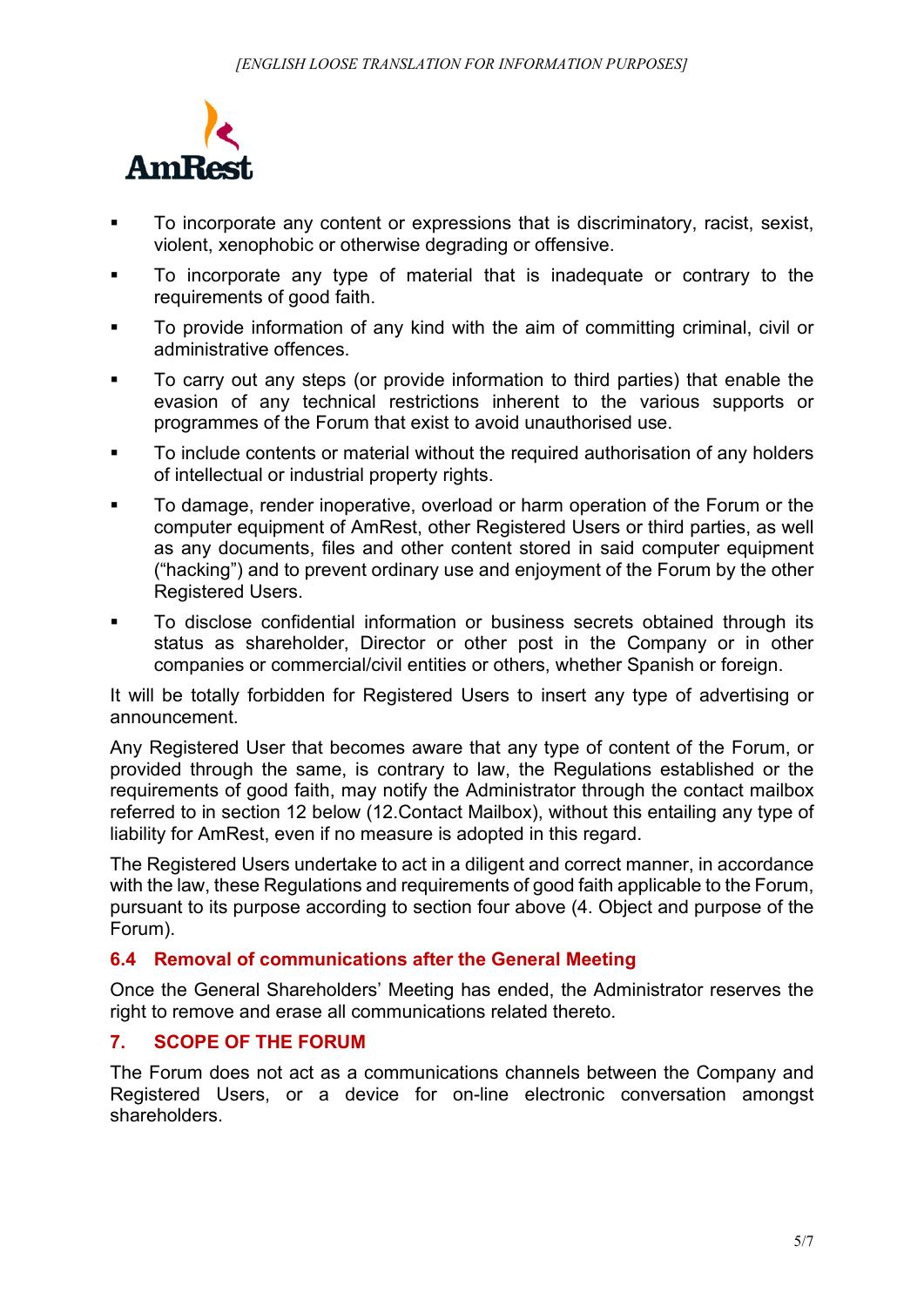

- To incorporate any content or expressions that is discriminatory, racist, sexist, violent, xenophobic or otherwise degrading or offensive.
- To incorporate any type of material that is inadequate or contrary to the requirements of good faith.
- To provide information of any kind with the aim of committing criminal, civil or administrative offences.
- To carry out any steps (or provide information to third parties) that enable the evasion of any technical restrictions inherent to the various supports or programmes of the Forum that exist to avoid unauthorised use.
- To include contents or material without the required authorisation of any holders of intellectual or industrial property rights.
- To damage, render inoperative, overload or harm operation of the Forum or the computer equipment of AmRest, other Registered Users or third parties, as well as any documents, files and other content stored in said computer equipment ("hacking") and to prevent ordinary use and enjoyment of the Forum by the other Registered Users.
- To disclose confidential information or business secrets obtained through its status as shareholder, Director or other post in the Company or in other companies or commercial/civil entities or others, whether Spanish or foreign.

It will be totally forbidden for Registered Users to insert any type of advertising or announcement.

Any Registered User that becomes aware that any type of content of the Forum, or provided through the same, is contrary to law, the Regulations established or the requirements of good faith, may notify the Administrator through the contact mailbox referred to in section 12 below (12.Contact Mailbox), without this entailing any type of liability for AmRest, even if no measure is adopted in this regard.

The Registered Users undertake to act in a diligent and correct manner, in accordance with the law, these Regulations and requirements of good faith applicable to the Forum, pursuant to its purpose according to section four above (4. Object and purpose of the Forum).

## **6.4 Removal of communications after the General Meeting**

Once the General Shareholders' Meeting has ended, the Administrator reserves the right to remove and erase all communications related thereto.

## **7. SCOPE OF THE FORUM**

The Forum does not act as a communications channels between the Company and Registered Users, or a device for on-line electronic conversation amongst shareholders.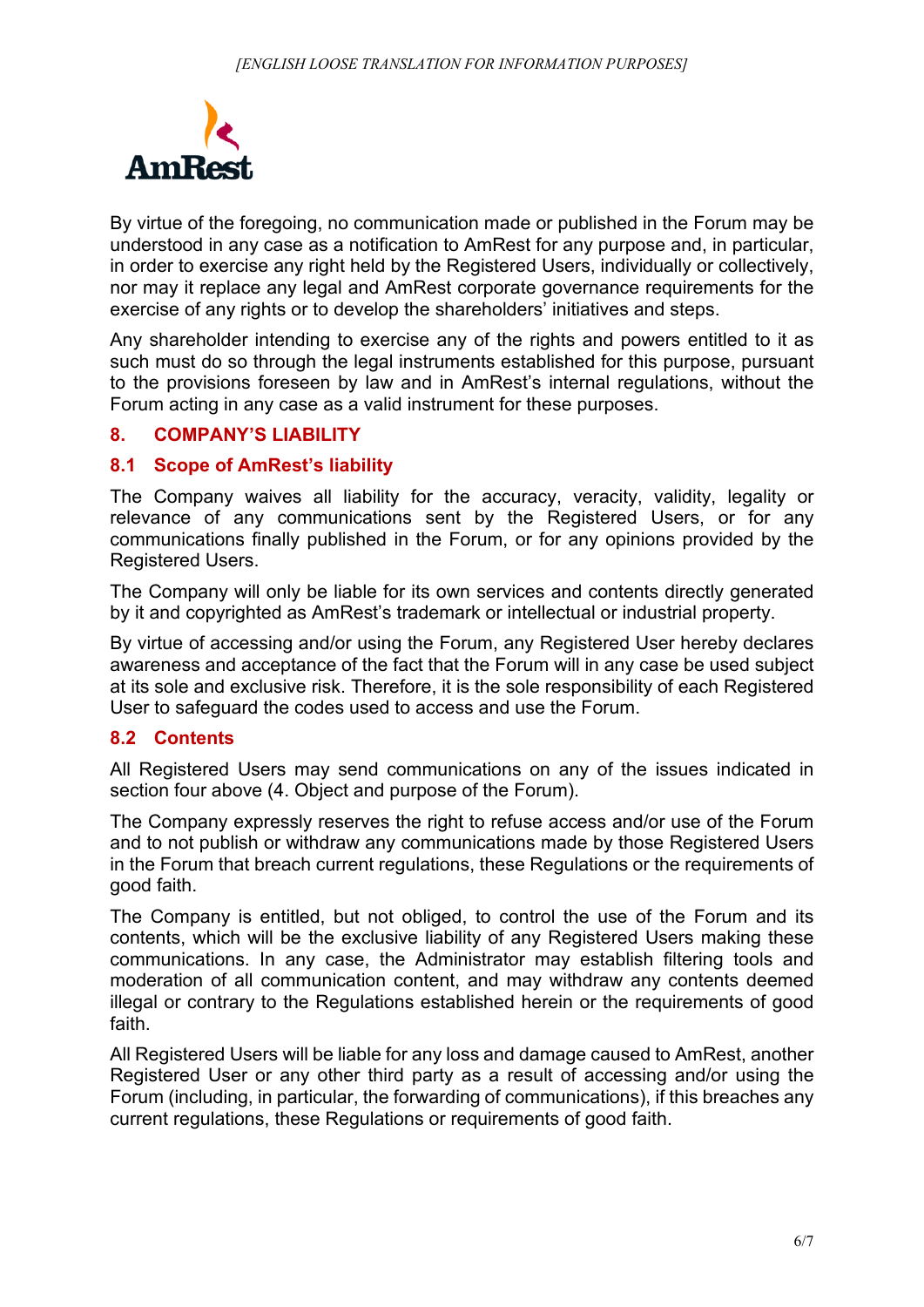

By virtue of the foregoing, no communication made or published in the Forum may be understood in any case as a notification to AmRest for any purpose and, in particular, in order to exercise any right held by the Registered Users, individually or collectively, nor may it replace any legal and AmRest corporate governance requirements for the exercise of any rights or to develop the shareholders' initiatives and steps.

Any shareholder intending to exercise any of the rights and powers entitled to it as such must do so through the legal instruments established for this purpose, pursuant to the provisions foreseen by law and in AmRest's internal regulations, without the Forum acting in any case as a valid instrument for these purposes.

## **8. COMPANY'S LIABILITY**

## **8.1 Scope of AmRest's liability**

The Company waives all liability for the accuracy, veracity, validity, legality or relevance of any communications sent by the Registered Users, or for any communications finally published in the Forum, or for any opinions provided by the Registered Users.

The Company will only be liable for its own services and contents directly generated by it and copyrighted as AmRest's trademark or intellectual or industrial property.

By virtue of accessing and/or using the Forum, any Registered User hereby declares awareness and acceptance of the fact that the Forum will in any case be used subject at its sole and exclusive risk. Therefore, it is the sole responsibility of each Registered User to safeguard the codes used to access and use the Forum.

## **8.2 Contents**

All Registered Users may send communications on any of the issues indicated in section four above (4. Object and purpose of the Forum).

The Company expressly reserves the right to refuse access and/or use of the Forum and to not publish or withdraw any communications made by those Registered Users in the Forum that breach current regulations, these Regulations or the requirements of good faith.

The Company is entitled, but not obliged, to control the use of the Forum and its contents, which will be the exclusive liability of any Registered Users making these communications. In any case, the Administrator may establish filtering tools and moderation of all communication content, and may withdraw any contents deemed illegal or contrary to the Regulations established herein or the requirements of good faith.

All Registered Users will be liable for any loss and damage caused to AmRest, another Registered User or any other third party as a result of accessing and/or using the Forum (including, in particular, the forwarding of communications), if this breaches any current regulations, these Regulations or requirements of good faith.